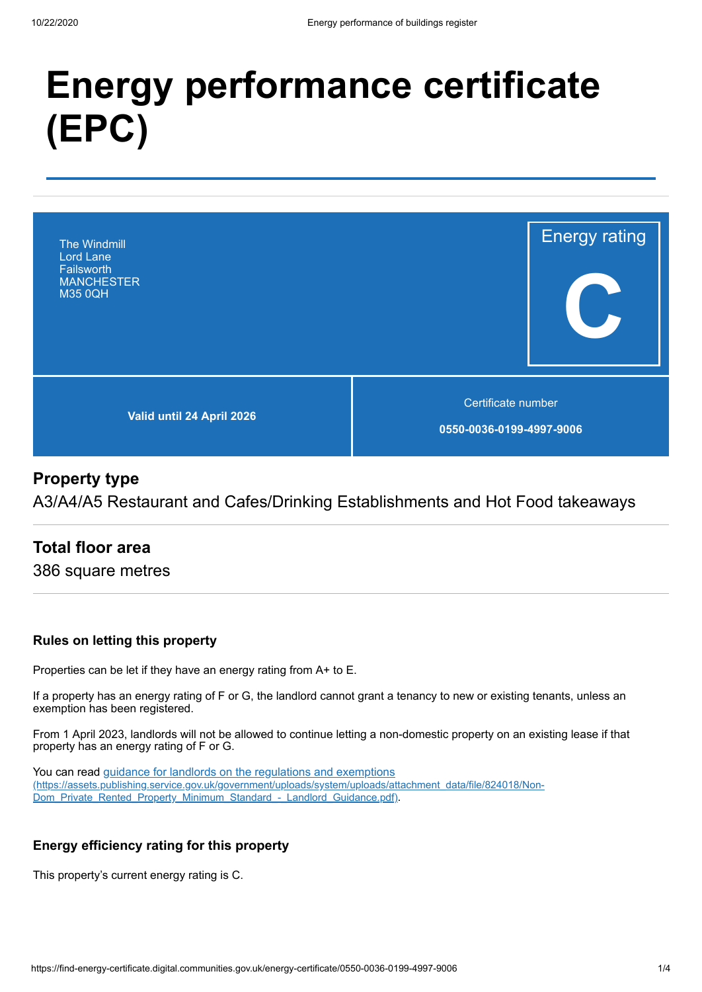# **Energy performance certificate (EPC)**



# **Property type**

A3/A4/A5 Restaurant and Cafes/Drinking Establishments and Hot Food takeaways

# **Total floor area**

386 square metres

## **Rules on letting this property**

Properties can be let if they have an energy rating from A+ to E.

If a property has an energy rating of F or G, the landlord cannot grant a tenancy to new or existing tenants, unless an exemption has been registered.

From 1 April 2023, landlords will not be allowed to continue letting a non-domestic property on an existing lease if that property has an energy rating of F or G.

You can read guidance for landlords on the regulations and exemptions [\(https://assets.publishing.service.gov.uk/government/uploads/system/uploads/attachment\\_data/file/824018/Non-](https://assets.publishing.service.gov.uk/government/uploads/system/uploads/attachment_data/file/824018/Non-Dom_Private_Rented_Property_Minimum_Standard_-_Landlord_Guidance.pdf)Dom\_Private\_Rented\_Property\_Minimum\_Standard\_-\_Landlord\_Guidance.pdf).

## **Energy efficiency rating for this property**

This property's current energy rating is C.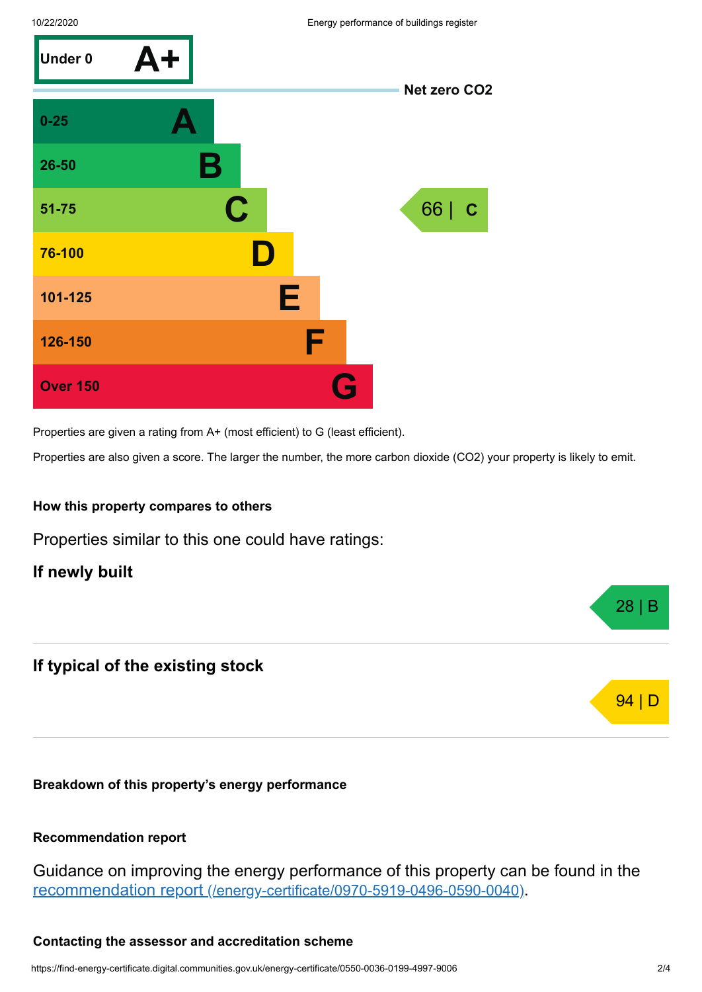

Properties are given a rating from A+ (most efficient) to G (least efficient).

Properties are also given a score. The larger the number, the more carbon dioxide (CO2) your property is likely to emit.

#### **How this property compares to others**

Properties similar to this one could have ratings:

**If newly built**

## **If typical of the existing stock**

**Breakdown of this property's energy performance**

#### **Recommendation report**

Guidance on improving the energy performance of this property can be found in the recommendation report [\(/energy-certificate/0970-5919-0496-0590-0040\)](https://find-energy-certificate.digital.communities.gov.uk/energy-certificate/0970-5919-0496-0590-0040).

#### **Contacting the assessor and accreditation scheme**

28 | B

**94** | D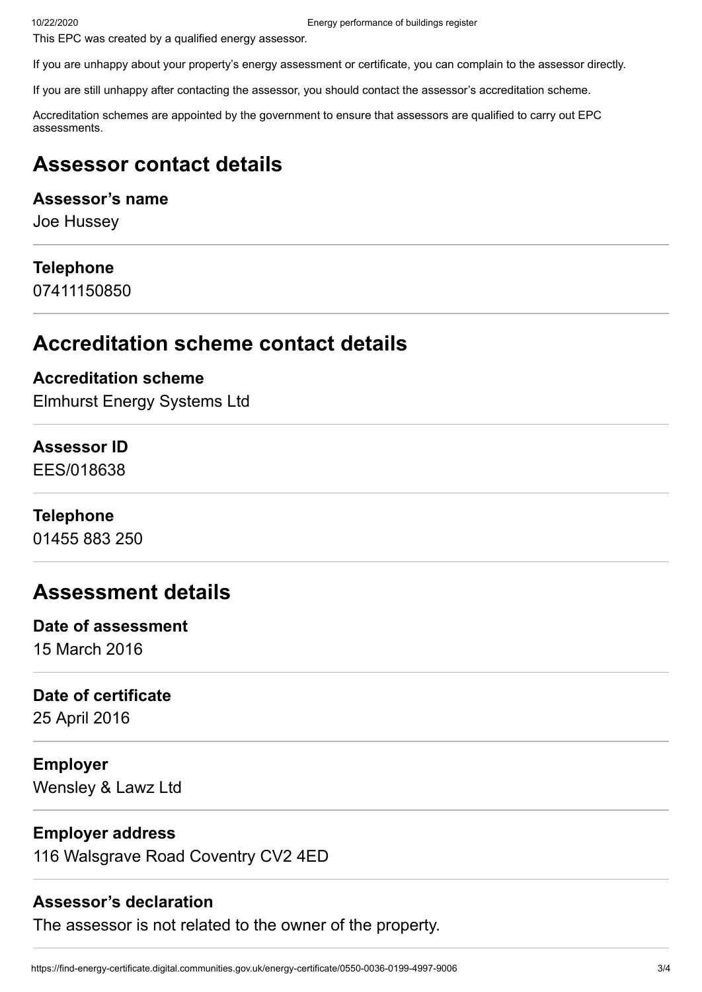This EPC was created by a qualified energy assessor.

If you are unhappy about your property's energy assessment or certificate, you can complain to the assessor directly.

If you are still unhappy after contacting the assessor, you should contact the assessor's accreditation scheme.

Accreditation schemes are appointed by the government to ensure that assessors are qualified to carry out EPC assessments.

# **Assessor contact details**

## **Assessor's name**

Joe Hussey

## **Telephone**

07411150850

# **Accreditation scheme contact details**

## **Accreditation scheme**

Elmhurst Energy Systems Ltd

# **Assessor ID**

EES/018638

## **Telephone**

01455 883 250

# **Assessment details**

# **Date of assessment**

15 March 2016

## **Date of certificate**

25 April 2016

## **Employer**

Wensley & Lawz Ltd

## **Employer address**

116 Walsgrave Road Coventry CV2 4ED

## **Assessor's declaration**

The assessor is not related to the owner of the property.